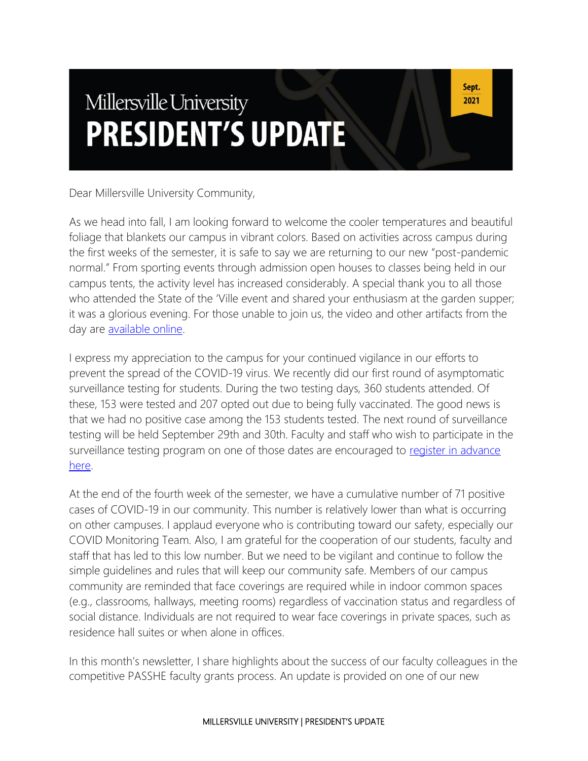# Millersville University **PRESIDENT'S UPDATE**

Sept. 2021

Dear Millersville University Community,

As we head into fall, I am looking forward to welcome the cooler temperatures and beautiful foliage that blankets our campus in vibrant colors. Based on activities across campus during the first weeks of the semester, it is safe to say we are returning to our new "post-pandemic normal." From sporting events through admission open houses to classes being held in our campus tents, the activity level has increased considerably. A special thank you to all those who attended the State of the 'Ville event and shared your enthusiasm at the garden supper; it was a glorious evening. For those unable to join us, the video and other artifacts from the day are [available online.](https://www.millersville.edu/president/events/sotv/index.php)

I express my appreciation to the campus for your continued vigilance in our efforts to prevent the spread of the COVID-19 virus. We recently did our first round of asymptomatic surveillance testing for students. During the two testing days, 360 students attended. Of these, 153 were tested and 207 opted out due to being fully vaccinated. The good news is that we had no positive case among the 153 students tested. The next round of surveillance testing will be held September 29th and 30th. Faculty and staff who wish to participate in the surveillance testing program on one of those dates are encouraged to register in advance [here.](https://outlook.office365.com/owa/calendar/CovidTesting1@MillersvilleUniversity.onmicrosoft.com/bookings/)

At the end of the fourth week of the semester, we have a cumulative number of 71 positive cases of COVID-19 in our community. This number is relatively lower than what is occurring on other campuses. I applaud everyone who is contributing toward our safety, especially our COVID Monitoring Team. Also, I am grateful for the cooperation of our students, faculty and staff that has led to this low number. But we need to be vigilant and continue to follow the simple guidelines and rules that will keep our community safe. Members of our campus community are reminded that face coverings are required while in indoor common spaces (e.g., classrooms, hallways, meeting rooms) regardless of vaccination status and regardless of social distance. Individuals are not required to wear face coverings in private spaces, such as residence hall suites or when alone in offices.

In this month's newsletter, I share highlights about the success of our faculty colleagues in the competitive PASSHE faculty grants process. An update is provided on one of our new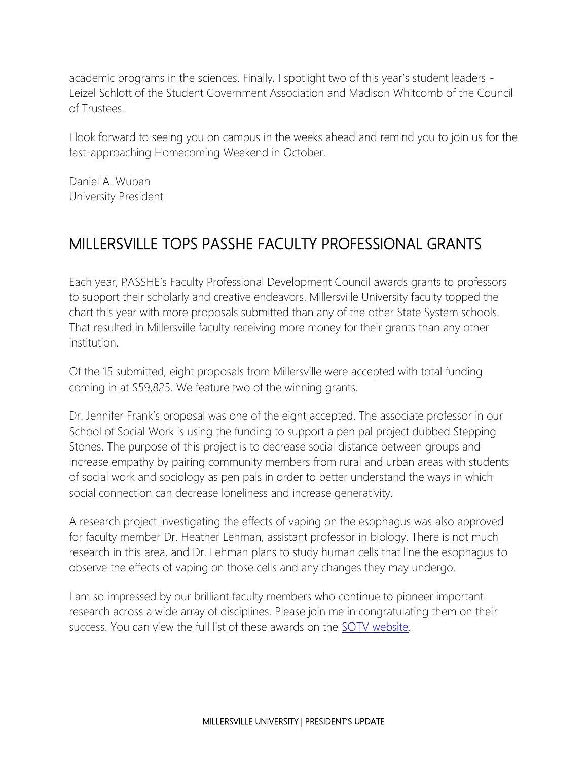academic programs in the sciences. Finally, I spotlight two of this year's student leaders - Leizel Schlott of the Student Government Association and Madison Whitcomb of the Council of Trustees.

I look forward to seeing you on campus in the weeks ahead and remind you to join us for the fast-approaching Homecoming Weekend in October.

Daniel A. Wubah University President

### MILLERSVILLE TOPS PASSHE FACULTY PROFESSIONAL GRANTS

Each year, PASSHE's Faculty Professional Development Council awards grants to professors to support their scholarly and creative endeavors. Millersville University faculty topped the chart this year with more proposals submitted than any of the other State System schools. That resulted in Millersville faculty receiving more money for their grants than any other institution.

Of the 15 submitted, eight proposals from Millersville were accepted with total funding coming in at \$59,825. We feature two of the winning grants.

Dr. Jennifer Frank's proposal was one of the eight accepted. The associate professor in our School of Social Work is using the funding to support a pen pal project dubbed Stepping Stones. The purpose of this project is to decrease social distance between groups and increase empathy by pairing community members from rural and urban areas with students of social work and sociology as pen pals in order to better understand the ways in which social connection can decrease loneliness and increase generativity.

A research project investigating the effects of vaping on the esophagus was also approved for faculty member Dr. Heather Lehman, assistant professor in biology. There is not much research in this area, and Dr. Lehman plans to study human cells that line the esophagus to observe the effects of vaping on those cells and any changes they may undergo.

I am so impressed by our brilliant faculty members who continue to pioneer important research across a wide array of disciplines. Please join me in congratulating them on their success. You can view the full list of these awards on the [SOTV website.](https://www.millersville.edu/president/events/sotv/faculty-recognition.php)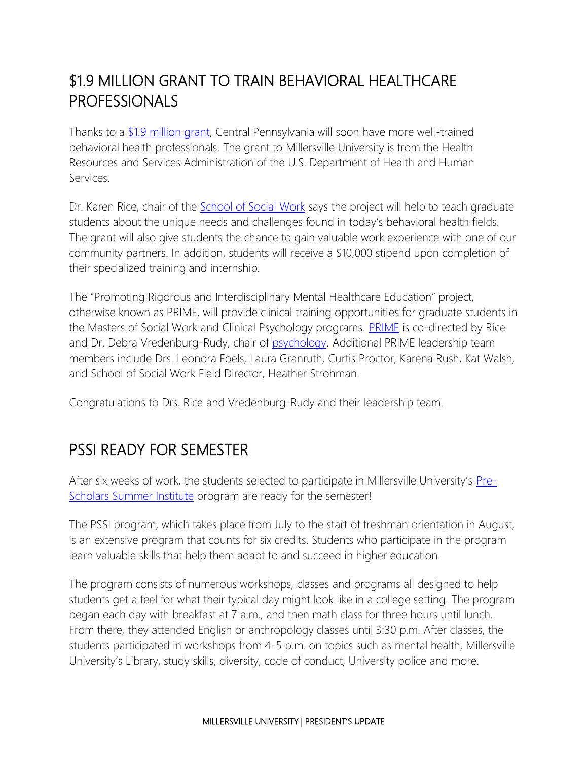## \$1.9 MILLION GRANT TO TRAIN BEHAVIORAL HEALTHCARE PROFESSIONALS

Thanks to a [\\$1.9 million grant,](https://blogs.millersville.edu/news/2021/08/26/1-9-million-grant-to-train-behavioral-healthcare-professionals/) Central Pennsylvania will soon have more well-trained behavioral health professionals. The grant to Millersville University is from the Health Resources and Services Administration of the U.S. Department of Health and Human Services.

Dr. Karen Rice, chair of the [School of Social Work](https://www.millersville.edu/socialwork/index.php) says the project will help to teach graduate students about the unique needs and challenges found in today's behavioral health fields. The grant will also give students the chance to gain valuable work experience with one of our community partners. In addition, students will receive a \$10,000 stipend upon completion of their specialized training and internship.

The "Promoting Rigorous and Interdisciplinary Mental Healthcare Education" project, otherwise known as PRIME, will provide clinical training opportunities for graduate students in the Masters of Social Work and Clinical Psychology programs. **[PRIME](https://www.millersville.edu/education/prime/index.php)** is co-directed by Rice and Dr. Debra Vredenburg-Rudy, chair of [psychology.](https://www.millersville.edu/psychology/) Additional PRIME leadership team members include Drs. Leonora Foels, Laura Granruth, Curtis Proctor, Karena Rush, Kat Walsh, and School of Social Work Field Director, Heather Strohman.

Congratulations to Drs. Rice and Vredenburg-Rudy and their leadership team.

#### PSSI READY FOR SEMESTER

After six weeks of work, the students selected to participate in Millersville University's [Pre-](https://www.millersville.edu/sass/pssi/index.php)[Scholars Summer Institute](https://www.millersville.edu/sass/pssi/index.php) program are ready for the semester!

The PSSI program, which takes place from July to the start of freshman orientation in August, is an extensive program that counts for six credits. Students who participate in the program learn valuable skills that help them adapt to and succeed in higher education.

The program consists of numerous workshops, classes and programs all designed to help students get a feel for what their typical day might look like in a college setting. The program began each day with breakfast at 7 a.m., and then math class for three hours until lunch. From there, they attended English or anthropology classes until 3:30 p.m. After classes, the students participated in workshops from 4-5 p.m. on topics such as mental health, Millersville University's Library, study skills, diversity, code of conduct, University police and more.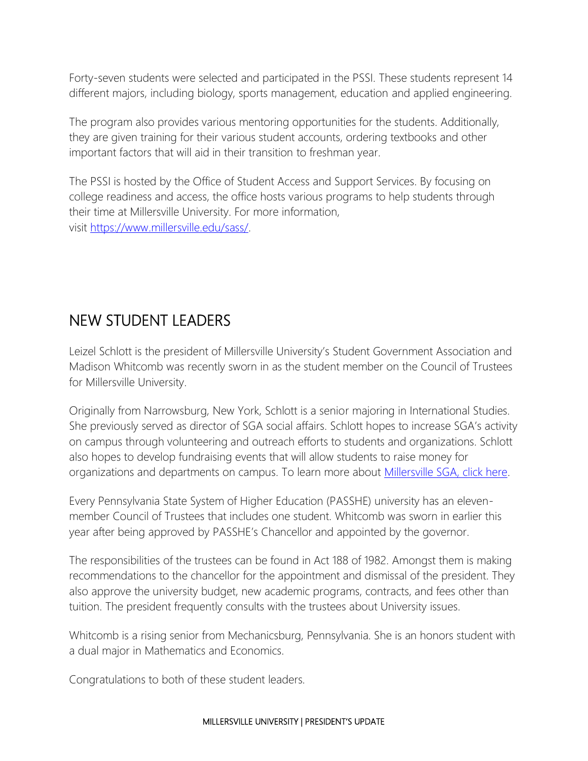Forty-seven students were selected and participated in the PSSI. These students represent 14 different majors, including biology, sports management, education and applied engineering.

The program also provides various mentoring opportunities for the students. Additionally, they are given training for their various student accounts, ordering textbooks and other important factors that will aid in their transition to freshman year.

The PSSI is hosted by the Office of Student Access and Support Services. By focusing on college readiness and access, the office hosts various programs to help students through their time at Millersville University. For more information, visit [https://www.millersville.edu/sass/.](https://www.millersville.edu/sass/)

#### NEW STUDENT LEADERS

Leizel Schlott is the president of Millersville University's Student Government Association and Madison Whitcomb was recently sworn in as the student member on the Council of Trustees for Millersville University.

Originally from Narrowsburg, New York, Schlott is a senior majoring in International Studies. She previously served as director of SGA social affairs. Schlott hopes to increase SGA's activity on campus through volunteering and outreach efforts to students and organizations. Schlott also hopes to develop fundraising events that will allow students to raise money for organizations and departments on campus. To learn more about [Millersville SGA, click here.](https://involved.millersville.edu/organization/StudentGovernment)

Every Pennsylvania State System of Higher Education (PASSHE) university has an elevenmember Council of Trustees that includes one student. Whitcomb was sworn in earlier this year after being approved by PASSHE's Chancellor and appointed by the governor.

The responsibilities of the trustees can be found in Act 188 of 1982. Amongst them is making recommendations to the chancellor for the appointment and dismissal of the president. They also approve the university budget, new academic programs, contracts, and fees other than tuition. The president frequently consults with the trustees about University issues.

Whitcomb is a rising senior from Mechanicsburg, Pennsylvania. She is an honors student with a dual major in Mathematics and Economics.

Congratulations to both of these student leaders.